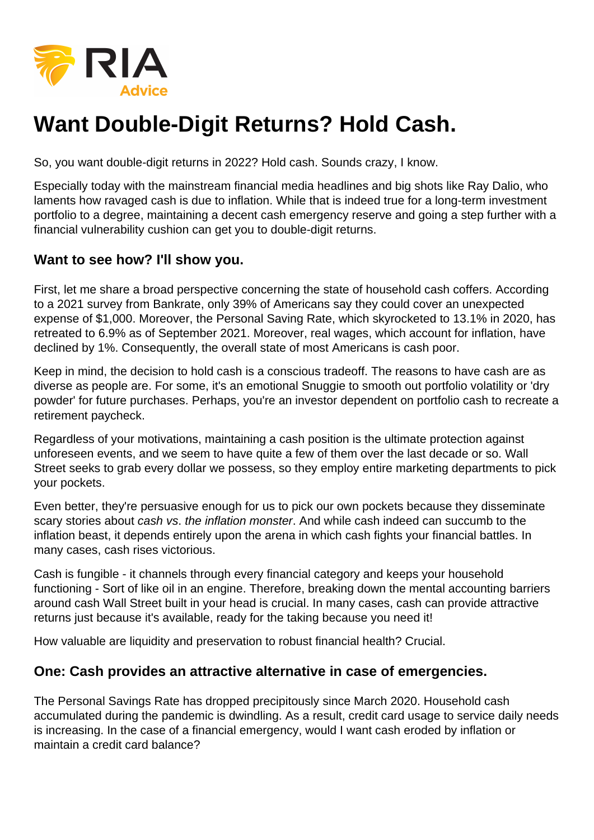

# **Want Double-Digit Returns? Hold Cash.**

So, you want double-digit returns in 2022? Hold cash. Sounds crazy, I know.

Especially today with the mainstream financial media headlines and big shots like Ray Dalio, who laments how ravaged cash is due to inflation. While that is indeed true for a long-term investment portfolio to a degree, maintaining a decent cash emergency reserve and going a step further with a financial vulnerability cushion can get you to double-digit returns.

### **Want to see how? I'll show you.**

First, let me share a broad perspective concerning the state of household cash coffers. According to a 2021 survey from Bankrate, only 39% of Americans say they could cover an unexpected expense of \$1,000. Moreover, the Personal Saving Rate, which skyrocketed to 13.1% in 2020, has retreated to 6.9% as of September 2021. Moreover, real wages, which account for inflation, have declined by 1%. Consequently, the overall state of most Americans is cash poor.

Keep in mind, the decision to hold cash is a conscious tradeoff. The reasons to have cash are as diverse as people are. For some, it's an emotional Snuggie to smooth out portfolio volatility or 'dry powder' for future purchases. Perhaps, you're an investor dependent on portfolio cash to recreate a retirement paycheck.

Regardless of your motivations, maintaining a cash position is the ultimate protection against unforeseen events, and we seem to have quite a few of them over the last decade or so. Wall Street seeks to grab every dollar we possess, so they employ entire marketing departments to pick your pockets.

Even better, they're persuasive enough for us to pick our own pockets because they disseminate scary stories about cash vs. the inflation monster. And while cash indeed can succumb to the inflation beast, it depends entirely upon the arena in which cash fights your financial battles. In many cases, cash rises victorious.

Cash is fungible - it channels through every financial category and keeps your household functioning - Sort of like oil in an engine. Therefore, breaking down the mental accounting barriers around cash Wall Street built in your head is crucial. In many cases, cash can provide attractive returns just because it's available, ready for the taking because you need it!

How valuable are liquidity and preservation to robust financial health? Crucial.

### **One: Cash provides an attractive alternative in case of emergencies.**

The Personal Savings Rate has dropped precipitously since March 2020. Household cash accumulated during the pandemic is dwindling. As a result, credit card usage to service daily needs is increasing. In the case of a financial emergency, would I want cash eroded by inflation or maintain a credit card balance?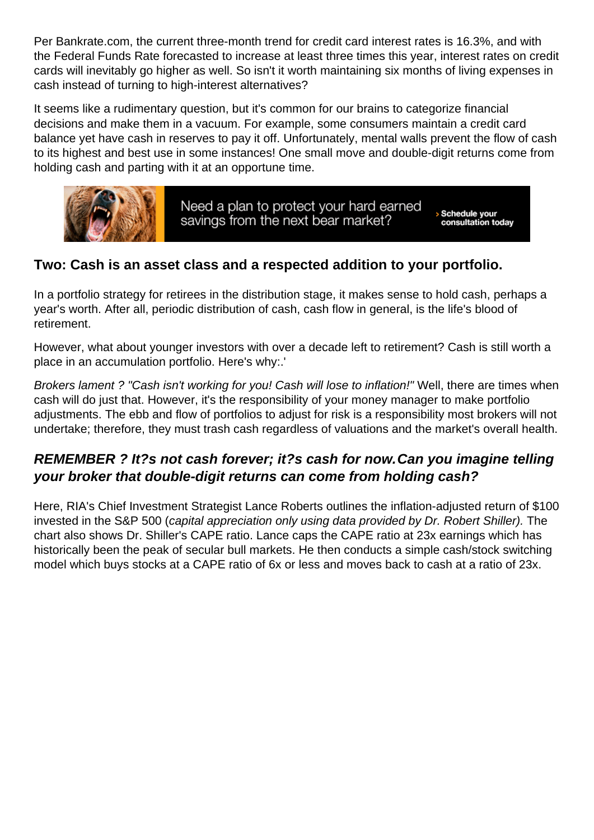Per Bankrate.com, the current three-month trend for credit card interest rates is 16.3%, and with the Federal Funds Rate forecasted to increase at least three times this year, interest rates on credit cards will inevitably go higher as well. So isn't it worth maintaining six months of living expenses in cash instead of turning to high-interest alternatives?

It seems like a rudimentary question, but it's common for our brains to categorize financial decisions and make them in a vacuum. For example, some consumers maintain a credit card balance yet have cash in reserves to pay it off. Unfortunately, mental walls prevent the flow of cash to its highest and best use in some instances! One small move and double-digit returns come from holding cash and parting with it at an opportune time.

Two: Cash is an asset class and a respected addition to your portfolio.

In a portfolio strategy for retirees in the distribution stage, it makes sense to hold cash, perhaps a year's worth. After all, periodic distribution of cash, cash flow in general, is the life's blood of retirement.

However, what about younger investors with over a decade left to retirement? Cash is still worth a place in an accumulation portfolio. Here's why:.'

Brokers lament ? "Cash isn't working for you! Cash will lose to inflation!" Well, there are times when cash will do just that. However, it's the responsibility of your money manager to make portfolio adjustments. The ebb and flow of portfolios to adjust for risk is a responsibility most brokers will not undertake; therefore, they must trash cash regardless of valuations and the market's overall health.

REMEMBER ? It?s not cash forever; it?s cash for now. Can you imagine telling your broker that double-digit returns can come from holding cash?

Here, RIA's Chief Investment Strategist Lance Roberts outlines the inflation-adjusted return of \$100 invested in the S&P 500 (capital appreciation only using data provided by Dr. Robert Shiller). The chart also shows Dr. Shiller's CAPE ratio. Lance caps the CAPE ratio at 23x earnings which has historically been the peak of secular bull markets. He then conducts a simple cash/stock switching model which buys stocks at a CAPE ratio of 6x or less and moves back to cash at a ratio of 23x.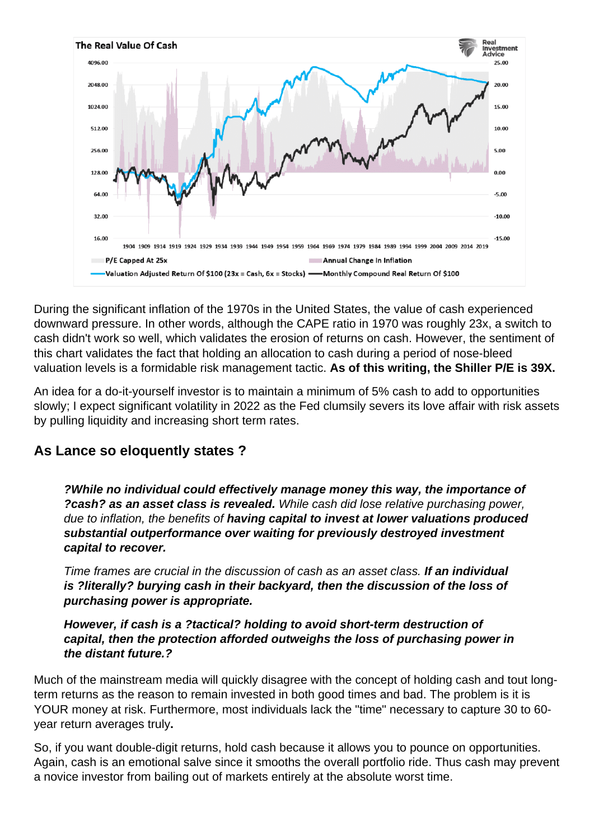

During the significant inflation of the 1970s in the United States, the value of cash experienced downward pressure. In other words, although the CAPE ratio in 1970 was roughly 23x, a switch to cash didn't work so well, which validates the erosion of returns on cash. However, the sentiment of this chart validates the fact that holding an allocation to cash during a period of nose-bleed valuation levels is a formidable risk management tactic. **As of this writing, the Shiller P/E is 39X.**

An idea for a do-it-yourself investor is to maintain a minimum of 5% cash to add to opportunities slowly; I expect significant volatility in 2022 as the Fed clumsily severs its love affair with risk assets by pulling liquidity and increasing short term rates.

## **As Lance so eloquently states ?**

**?While no individual could effectively manage money this way, the importance of ?cash? as an asset class is revealed.** While cash did lose relative purchasing power, due to inflation, the benefits of **having capital to invest at lower valuations produced substantial outperformance over waiting for previously destroyed investment capital to recover.**

Time frames are crucial in the discussion of cash as an asset class. **If an individual is ?literally? burying cash in their backyard, then the discussion of the loss of purchasing power is appropriate.**

#### **However, if cash is a ?tactical? holding to avoid short-term destruction of capital, then the protection afforded outweighs the loss of purchasing power in the distant future.?**

Much of the mainstream media will quickly disagree with the concept of holding cash and tout longterm returns as the reason to remain invested in both good times and bad. The problem is it is YOUR money at risk. Furthermore, most individuals lack the "time" necessary to capture 30 to 60 year return averages truly**.**

So, if you want double-digit returns, hold cash because it allows you to pounce on opportunities. Again, cash is an emotional salve since it smooths the overall portfolio ride. Thus cash may prevent a novice investor from bailing out of markets entirely at the absolute worst time.